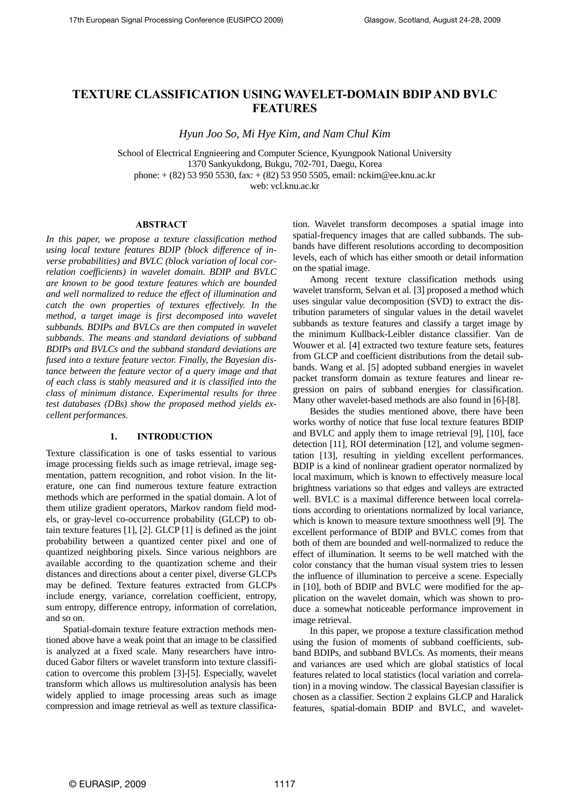# **TEXTURE CLASSIFICATION USING WAVELET-DOMAIN BDIP AND BVLC FEATURES**

*Hyun Joo So, Mi Hye Kim, and Nam Chul Kim* 

School of Electrical Engnieering and Computer Science, Kyungpook National University 1370 Sankyukdong, Bukgu, 702-701, Daegu, Korea phone: + (82) 53 950 5530, fax: + (82) 53 950 5505, email: nckim@ee.knu.ac.kr web: vcl.knu.ac.kr

### **ABSTRACT**

*In this paper, we propose a texture classification method using local texture features BDIP (block difference of inverse probabilities) and BVLC (block variation of local correlation coefficients) in wavelet domain. BDIP and BVLC are known to be good texture features which are bounded and well normalized to reduce the effect of illumination and catch the own properties of textures effectively. In the method, a target image is first decomposed into wavelet subbands. BDIPs and BVLCs are then computed in wavelet subbands. The means and standard deviations of subband BDIPs and BVLCs and the subband standard deviations are fused into a texture feature vector. Finally, the Bayesian distance between the feature vector of a query image and that of each class is stably measured and it is classified into the class of minimum distance. Experimental results for three test databases (DBs) show the proposed method yields excellent performances.* 

#### **1. INTRODUCTION**

Texture classification is one of tasks essential to various image processing fields such as image retrieval, image segmentation, pattern recognition, and robot vision. In the literature, one can find numerous texture feature extraction methods which are performed in the spatial domain. A lot of them utilize gradient operators, Markov random field models, or gray-level co-occurrence probability (GLCP) to obtain texture features [1], [2]. GLCP [1] is defined as the joint probability between a quantized center pixel and one of quantized neighboring pixels. Since various neighbors are available according to the quantization scheme and their distances and directions about a center pixel, diverse GLCPs may be defined. Texture features extracted from GLCPs include energy, variance, correlation coefficient, entropy, sum entropy, difference entropy, information of correlation, and so on.

Spatial-domain texture feature extraction methods mentioned above have a weak point that an image to be classified is analyzed at a fixed scale. Many researchers have introduced Gabor filters or wavelet transform into texture classification to overcome this problem [3]-[5]. Especially, wavelet transform which allows us multiresolution analysis has been widely applied to image processing areas such as image compression and image retrieval as well as texture classification. Wavelet transform decomposes a spatial image into spatial-frequency images that are called subbands. The subbands have different resolutions according to decomposition levels, each of which has either smooth or detail information on the spatial image.

Among recent texture classification methods using wavelet transform, Selvan et al. [3] proposed a method which uses singular value decomposition (SVD) to extract the distribution parameters of singular values in the detail wavelet subbands as texture features and classify a target image by the minimum Kullback-Leibler distance classifier. Van de Wouwer et al. [4] extracted two texture feature sets, features from GLCP and coefficient distributions from the detail subbands. Wang et al. [5] adopted subband energies in wavelet packet transform domain as texture features and linear regression on pairs of subband energies for classification. Many other wavelet-based methods are also found in [6]-[8].

Besides the studies mentioned above, there have been works worthy of notice that fuse local texture features BDIP and BVLC and apply them to image retrieval [9], [10], face detection [11], ROI determination [12], and volume segmentation [13], resulting in yielding excellent performances. BDIP is a kind of nonlinear gradient operator normalized by local maximum, which is known to effectively measure local brightness variations so that edges and valleys are extracted well. BVLC is a maximal difference between local correlations according to orientations normalized by local variance, which is known to measure texture smoothness well [9]. The excellent performance of BDIP and BVLC comes from that both of them are bounded and well-normalized to reduce the effect of illumination. It seems to be well matched with the color constancy that the human visual system tries to lessen the influence of illumination to perceive a scene. Especially in [10], both of BDIP and BVLC were modified for the application on the wavelet domain, which was shown to produce a somewhat noticeable performance improvement in image retrieval.

In this paper, we propose a texture classification method using the fusion of moments of subband coefficients, subband BDIPs, and subband BVLCs. As moments, their means and variances are used which are global statistics of local features related to local statistics (local variation and correlation) in a moving window. The classical Bayesian classifier is chosen as a classifier. Section 2 explains GLCP and Haralick features, spatial-domain BDIP and BVLC, and wavelet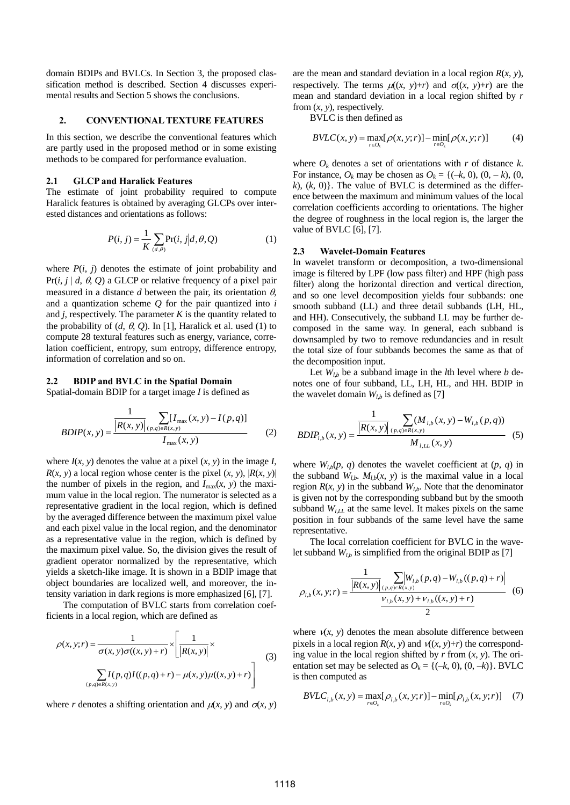domain BDIPs and BVLCs. In Section 3, the proposed classification method is described. Section 4 discusses experimental results and Section 5 shows the conclusions.

# **2. CONVENTIONAL TEXTURE FEATURES**

In this section, we describe the conventional features which are partly used in the proposed method or in some existing methods to be compared for performance evaluation.

### **2.1 GLCP and Haralick Features**

The estimate of joint probability required to compute Haralick features is obtained by averaging GLCPs over interested distances and orientations as follows:

$$
P(i, j) = \frac{1}{K} \sum_{(d, \theta)} \Pr(i, j | d, \theta, Q)
$$
 (1)

where  $P(i, j)$  denotes the estimate of joint probability and Pr( $i$ ,  $j \mid d$ ,  $\theta$ ,  $Q$ ) a GLCP or relative frequency of a pixel pair measured in a distance  $d$  between the pair, its orientation  $\theta$ , and a quantization scheme *Q* for the pair quantized into *i* and  $j$ , respectively. The parameter  $K$  is the quantity related to the probability of  $(d, \theta, Q)$ . In [1], Haralick et al. used (1) to compute 28 textural features such as energy, variance, correlation coefficient, entropy, sum entropy, difference entropy, information of correlation and so on.

# **2.2 BDIP and BVLC in the Spatial Domain**

Spatial-domain BDIP for a target image *I* is defined as

$$
BDIP(x, y) = \frac{\frac{1}{|R(x, y)|} \sum_{(p, q) \in R(x, y)} [I_{\text{max}}(x, y) - I(p, q)]}{I_{\text{max}}(x, y)}
$$
(2)

where  $I(x, y)$  denotes the value at a pixel  $(x, y)$  in the image *I*,  $R(x, y)$  a local region whose center is the pixel  $(x, y)$ ,  $|R(x, y)|$ the number of pixels in the region, and  $I_{\text{max}}(x, y)$  the maximum value in the local region. The numerator is selected as a representative gradient in the local region, which is defined by the averaged difference between the maximum pixel value and each pixel value in the local region, and the denominator as a representative value in the region, which is defined by the maximum pixel value. So, the division gives the result of gradient operator normalized by the representative, which yields a sketch-like image. It is shown in a BDIP image that object boundaries are localized well, and moreover, the intensity variation in dark regions is more emphasized [6], [7].

The computation of BVLC starts from correlation coefficients in a local region, which are defined as

$$
\rho(x, y; r) = \frac{1}{\sigma(x, y)\sigma((x, y) + r)} \times \left[ \frac{1}{|R(x, y)|} \times \frac{1}{|R(x, y)|} \right]
$$
\n
$$
\sum_{(p, q) \in R(x, y)} I(p, q)I((p, q) + r) - \mu(x, y)\mu((x, y) + r) \right]
$$
\n(3)

where *r* denotes a shifting orientation and  $\mu(x, y)$  and  $\sigma(x, y)$ 

are the mean and standard deviation in a local region  $R(x, y)$ , respectively. The terms  $\mu((x, y)+r)$  and  $\sigma((x, y)+r)$  are the mean and standard deviation in a local region shifted by *r* from  $(x, y)$ , respectively.

BVLC is then defined as

$$
BVLC(x, y) = \max_{r \in O_k} [\rho(x, y; r)] - \min_{r \in O_k} [\rho(x, y; r)] \tag{4}
$$

where  $O_k$  denotes a set of orientations with *r* of distance *k*. For instance,  $O_k$  may be chosen as  $O_k = \{(-k, 0), (0, -k), (0,$  $k$ ),  $(k, 0)$ . The value of BVLC is determined as the difference between the maximum and minimum values of the local correlation coefficients according to orientations. The higher the degree of roughness in the local region is, the larger the value of BVLC [6], [7].

#### **2.3 Wavelet-Domain Features**

In wavelet transform or decomposition, a two-dimensional image is filtered by LPF (low pass filter) and HPF (high pass filter) along the horizontal direction and vertical direction, and so one level decomposition yields four subbands: one smooth subband (LL) and three detail subbands (LH, HL, and HH). Consecutively, the subband LL may be further decomposed in the same way. In general, each subband is downsampled by two to remove redundancies and in result the total size of four subbands becomes the same as that of the decomposition input.

Let  $W_{1h}$  be a subband image in the *l*th level where *b* denotes one of four subband, LL, LH, HL, and HH. BDIP in the wavelet domain  $W_{l,b}$  is defined as [7]

$$
BDIP_{l,b}(x, y) = \frac{\frac{1}{\left|R(x, y)\right|} \sum_{(p,q)\in R(x, y)} (M_{l,b}(x, y) - W_{l,b}(p, q))}{M_{l,LL}(x, y)}
$$
(5)

where  $W_{l,b}(p, q)$  denotes the wavelet coefficient at  $(p, q)$  in the subband  $W_{l,b}$ .  $M_{l,b}(x, y)$  is the maximal value in a local region  $R(x, y)$  in the subband  $W_{l,b}$ . Note that the denominator is given not by the corresponding subband but by the smooth subband  $W_{LLL}$  at the same level. It makes pixels on the same position in four subbands of the same level have the same representative.

The local correlation coefficient for BVLC in the wavelet subband  $W_{l,b}$  is simplified from the original BDIP as [7]

$$
\rho_{l,b}(x, y; r) = \frac{\frac{1}{\left|R(x, y)\right|} \sum_{(p, q) \in R(x, y)} \left|W_{l,b}(p, q) - W_{l,b}((p, q) + r)\right|}{\frac{\nu_{l,b}(x, y) + \nu_{l,b}((x, y) + r)}{2}} \tag{6}
$$

where  $v(x, y)$  denotes the mean absolute difference between pixels in a local region  $R(x, y)$  and  $V(x, y)+r$  the corresponding value in the local region shifted by  $r$  from  $(x, y)$ . The orientation set may be selected as  $O_k = \{(-k, 0), (0, -k)\}\$ . BVLC is then computed as

$$
BVLC_{l,b}(x, y) = \max_{r \in O_k} [\rho_{l,b}(x, y; r)] - \min_{r \in O_k} [\rho_{l,b}(x, y; r)] \quad (7)
$$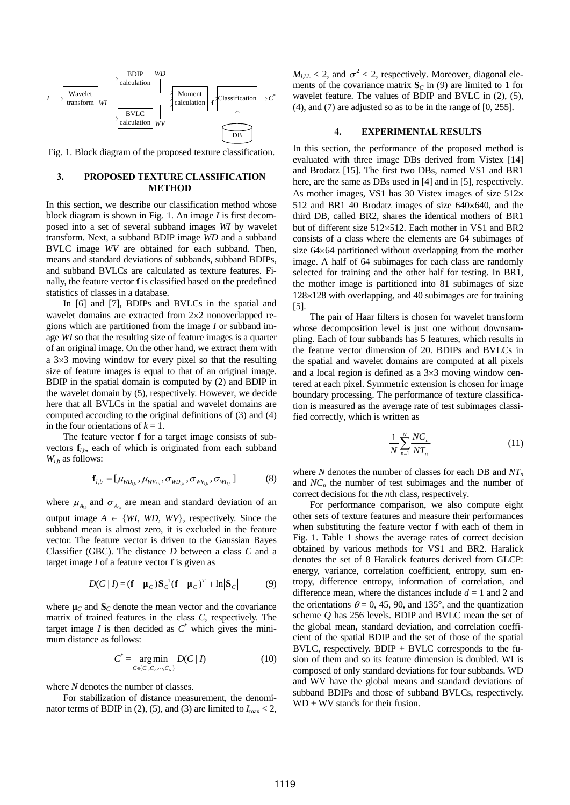

Fig. 1. Block diagram of the proposed texture classification.

# **3. PROPOSED TEXTURE CLASSIFICATION METHOD**

In this section, we describe our classification method whose block diagram is shown in Fig. 1. An image *I* is first decomposed into a set of several subband images *WI* by wavelet transform. Next, a subband BDIP image *WD* and a subband BVLC image *WV* are obtained for each subband. Then, means and standard deviations of subbands, subband BDIPs, and subband BVLCs are calculated as texture features. Finally, the feature vector **f** is classified based on the predefined statistics of classes in a database.

In [6] and [7], BDIPs and BVLCs in the spatial and wavelet domains are extracted from 2×2 nonoverlapped regions which are partitioned from the image *I* or subband image *WI* so that the resulting size of feature images is a quarter of an original image. On the other hand, we extract them with a 3×3 moving window for every pixel so that the resulting size of feature images is equal to that of an original image. BDIP in the spatial domain is computed by (2) and BDIP in the wavelet domain by (5), respectively. However, we decide here that all BVLCs in the spatial and wavelet domains are computed according to the original definitions of (3) and (4) in the four orientations of  $k = 1$ .

The feature vector **f** for a target image consists of subvectors **f***l*,*b*, each of which is originated from each subband *Wl*,*b* as follows:

$$
\mathbf{f}_{l,b} = [\mu_{WD_{l,b}}, \mu_{WV_{l,b}}, \sigma_{WD_{l,b}}, \sigma_{WV_{l,b}}, \sigma_{WI_{l,b}}]
$$
(8)

where  $\mu_{A_{i}}$  and  $\sigma_{A_{i}}$  are mean and standard deviation of an output image  $A \in \{WI, WD, WV\}$ , respectively. Since the subband mean is almost zero, it is excluded in the feature vector. The feature vector is driven to the Gaussian Bayes Classifier (GBC). The distance *D* between a class *C* and a target image *I* of a feature vector **f** is given as

$$
D(C | I) = (\mathbf{f} - \mathbf{\mu}_C) \mathbf{S}_C^{-1} (\mathbf{f} - \mathbf{\mu}_C)^T + \ln |\mathbf{S}_C|
$$
 (9)

where  $\mu_C$  and  $S_C$  denote the mean vector and the covariance matrix of trained features in the class *C*, respectively. The target image *I* is then decided as  $C^*$  which gives the minimum distance as follows:

$$
C^* = \underset{C \in \{C_1, C_2, \cdots, C_N\}}{\arg \min} D(C | I)
$$
 (10)

where *N* denotes the number of classes.

For stabilization of distance measurement, the denominator terms of BDIP in (2), (5), and (3) are limited to  $I_{\text{max}} < 2$ ,

 $M_{l,LL}$  < 2, and  $\sigma^2$  < 2, respectively. Moreover, diagonal elements of the covariance matrix  $S_C$  in (9) are limited to 1 for wavelet feature. The values of BDIP and BVLC in (2), (5), (4), and (7) are adjusted so as to be in the range of [0, 255].

# **4. EXPERIMENTAL RESULTS**

In this section, the performance of the proposed method is evaluated with three image DBs derived from Vistex [14] and Brodatz [15]. The first two DBs, named VS1 and BR1 here, are the same as DBs used in [4] and in [5], respectively. As mother images, VS1 has 30 Vistex images of size 512× 512 and BR1 40 Brodatz images of size 640×640, and the third DB, called BR2, shares the identical mothers of BR1 but of different size 512×512. Each mother in VS1 and BR2 consists of a class where the elements are 64 subimages of size 64×64 partitioned without overlapping from the mother image. A half of 64 subimages for each class are randomly selected for training and the other half for testing. In BR1, the mother image is partitioned into 81 subimages of size 128×128 with overlapping, and 40 subimages are for training [5].

The pair of Haar filters is chosen for wavelet transform whose decomposition level is just one without downsampling. Each of four subbands has 5 features, which results in the feature vector dimension of 20. BDIPs and BVLCs in the spatial and wavelet domains are computed at all pixels and a local region is defined as a 3×3 moving window centered at each pixel. Symmetric extension is chosen for image boundary processing. The performance of texture classification is measured as the average rate of test subimages classified correctly, which is written as

$$
\frac{1}{N} \sum_{n=1}^{N} \frac{NC_n}{NT_n} \tag{11}
$$

where *N* denotes the number of classes for each DB and  $NT_n$ and  $NC_n$  the number of test subimages and the number of correct decisions for the *n*th class, respectively.

For performance comparison, we also compute eight other sets of texture features and measure their performances when substituting the feature vector **f** with each of them in Fig. 1. Table 1 shows the average rates of correct decision obtained by various methods for VS1 and BR2. Haralick denotes the set of 8 Haralick features derived from GLCP: energy, variance, correlation coefficient, entropy, sum entropy, difference entropy, information of correlation, and difference mean, where the distances include  $d = 1$  and 2 and the orientations  $\theta = 0$ , 45, 90, and 135°, and the quantization scheme *Q* has 256 levels. BDIP and BVLC mean the set of the global mean, standard deviation, and correlation coefficient of the spatial BDIP and the set of those of the spatial  $B VLC$ , respectively.  $BDIR + B VLC$  corresponds to the fusion of them and so its feature dimension is doubled. WI is composed of only standard deviations for four subbands. WD and WV have the global means and standard deviations of subband BDIPs and those of subband BVLCs, respectively.  $WD + WV$  stands for their fusion.